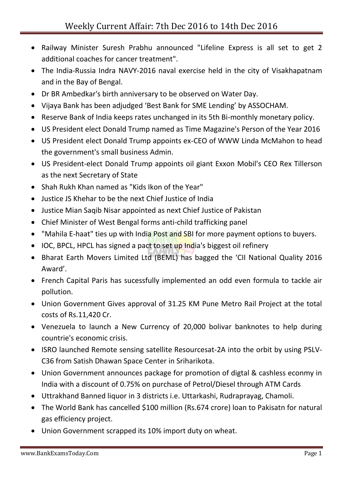- Railway Minister Suresh Prabhu announced "Lifeline Express is all set to get 2 additional coaches for cancer treatment".
- The India-Russia Indra NAVY-2016 naval exercise held in the city of Visakhapatnam and in the Bay of Bengal.
- Dr BR Ambedkar's birth anniversary to be observed on Water Day.
- Vijaya Bank has been adjudged 'Best Bank for SME Lending' by ASSOCHAM.
- Reserve Bank of India keeps rates unchanged in its 5th Bi-monthly monetary policy.
- US President elect Donald Trump named as Time Magazine's Person of the Year 2016
- US President elect Donald Trump appoints ex-CEO of WWW Linda McMahon to head the government's small business Admin.
- US President-elect Donald Trump appoints oil giant Exxon Mobil's CEO Rex Tillerson as the next Secretary of State
- Shah Rukh Khan named as "Kids Ikon of the Year"
- Justice JS Khehar to be the next Chief Justice of India
- Justice Mian Saqib Nisar appointed as next Chief Justice of Pakistan
- Chief Minister of West Bengal forms anti-child trafficking panel
- "Mahila E-haat" ties up with India Post and SBI for more payment options to buyers.
- IOC, BPCL, HPCL has signed a pact to set up India's biggest oil refinery
- Bharat Earth Movers Limited Ltd (BEML) has bagged the 'CII National Quality 2016 Award'.
- French Capital Paris has sucessfully implemented an odd even formula to tackle air pollution.
- Union Government Gives approval of 31.25 KM Pune Metro Rail Project at the total costs of Rs.11,420 Cr.
- Venezuela to launch a New Currency of 20,000 bolivar banknotes to help during countrie's economic crisis.
- ISRO launched Remote sensing satellite Resourcesat-2A into the orbit by using PSLV-C36 from Satish Dhawan Space Center in Sriharikota.
- Union Government announces package for promotion of digtal & cashless econmy in India with a discount of 0.75% on purchase of Petrol/Diesel through ATM Cards
- Uttrakhand Banned liquor in 3 districts i.e. Uttarkashi, Rudraprayag, Chamoli.
- The World Bank has cancelled \$100 million (Rs.674 crore) loan to Pakisatn for natural gas efficiency project.
- Union Government scrapped its 10% import duty on wheat.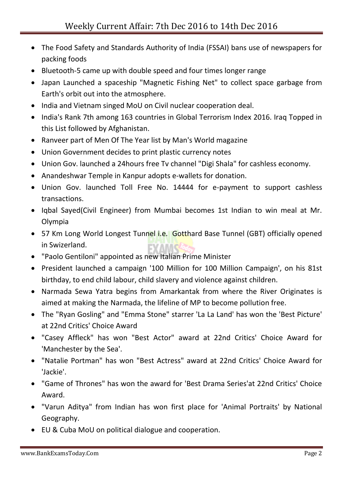- The Food Safety and Standards Authority of India (FSSAI) bans use of newspapers for packing foods
- Bluetooth-5 came up with double speed and four times longer range
- Japan Launched a spaceship "Magnetic Fishing Net" to collect space garbage from Earth's orbit out into the atmosphere.
- India and Vietnam singed MoU on Civil nuclear cooperation deal.
- India's Rank 7th among 163 countries in Global Terrorism Index 2016. Iraq Topped in this List followed by Afghanistan.
- Ranveer part of Men Of The Year list by Man's World magazine
- Union Government decides to print plastic currency notes
- Union Gov. launched a 24hours free Tv channel "Digi Shala" for cashless economy.
- Anandeshwar Temple in Kanpur adopts e-wallets for donation.
- Union Gov. launched Toll Free No. 14444 for e-payment to support cashless transactions.
- Iqbal Sayed(Civil Engineer) from Mumbai becomes 1st Indian to win meal at Mr. Olympia
- 57 Km Long World Longest Tunnel i.e. Gotthard Base Tunnel (GBT) officially opened in Swizerland.
- "Paolo Gentiloni" appointed as new Italian Prime Minister
- President launched a campaign '100 Million for 100 Million Campaign', on his 81st birthday, to end child labour, child slavery and violence against children.
- Narmada Sewa Yatra begins from Amarkantak from where the River Originates is aimed at making the Narmada, the lifeline of MP to become pollution free.
- The "Ryan Gosling" and "Emma Stone" starrer 'La La Land' has won the 'Best Picture' at 22nd Critics' Choice Award
- "Casey Affleck" has won "Best Actor" award at 22nd Critics' Choice Award for 'Manchester by the Sea'.
- "Natalie Portman" has won "Best Actress" award at 22nd Critics' Choice Award for 'Jackie'.
- "Game of Thrones" has won the award for 'Best Drama Series'at 22nd Critics' Choice Award.
- "Varun Aditya" from Indian has won first place for 'Animal Portraits' by National Geography.
- EU & Cuba MoU on political dialogue and cooperation.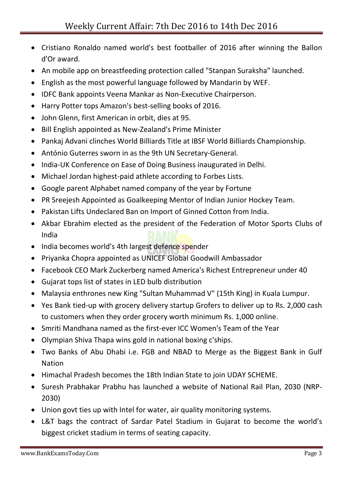- Cristiano Ronaldo named world's best footballer of 2016 after winning the Ballon d'Or award.
- An mobile app on breastfeeding protection called "Stanpan Suraksha" launched.
- English as the most powerful language followed by Mandarin by WEF.
- IDFC Bank appoints Veena Mankar as Non-Executive Chairperson.
- Harry Potter tops Amazon's best-selling books of 2016.
- John Glenn, first American in orbit, dies at 95.
- Bill English appointed as New-Zealand's Prime Minister
- Pankaj Advani clinches World Billiards Title at IBSF World Billiards Championship.
- António Guterres sworn in as the 9th UN Secretary-General.
- India-UK Conference on Ease of Doing Business inaugurated in Delhi.
- Michael Jordan highest-paid athlete according to Forbes Lists.
- Google parent Alphabet named company of the year by Fortune
- PR Sreejesh Appointed as Goalkeeping Mentor of Indian Junior Hockey Team.
- Pakistan Lifts Undeclared Ban on Import of Ginned Cotton from India.
- Akbar Ebrahim elected as the president of the Federation of Motor Sports Clubs of India
- India becomes world's 4th largest defence spender
- Priyanka Chopra appointed as UNICEF Global Goodwill Ambassador
- Facebook CEO Mark Zuckerberg named America's Richest Entrepreneur under 40
- Gujarat tops list of states in LED bulb distribution
- Malaysia enthrones new King "Sultan Muhammad V" (15th King) in Kuala Lumpur.
- Yes Bank tied-up with grocery delivery startup Grofers to deliver up to Rs. 2,000 cash to customers when they order grocery worth minimum Rs. 1,000 online.
- Smriti Mandhana named as the first-ever ICC Women's Team of the Year
- Olympian Shiva Thapa wins gold in national boxing c'ships.
- Two Banks of Abu Dhabi i.e. FGB and NBAD to Merge as the Biggest Bank in Gulf Nation
- Himachal Pradesh becomes the 18th Indian State to join UDAY SCHEME.
- Suresh Prabhakar Prabhu has launched a website of National Rail Plan, 2030 (NRP-2030)
- Union govt ties up with Intel for water, air quality monitoring systems.
- L&T bags the contract of Sardar Patel Stadium in Gujarat to become the world's biggest cricket stadium in terms of seating capacity.